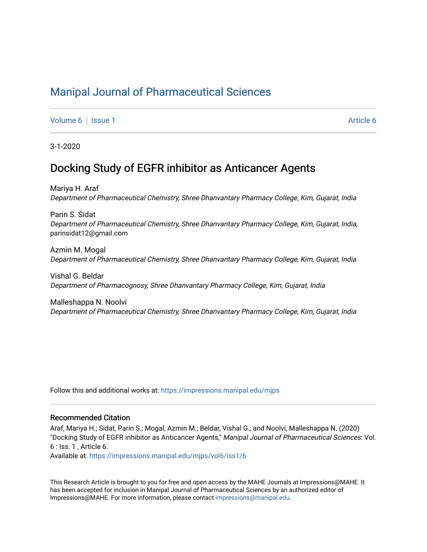# [Manipal Journal of Pharmaceutical Sciences](https://impressions.manipal.edu/mjps)

[Volume 6](https://impressions.manipal.edu/mjps/vol6) | [Issue 1](https://impressions.manipal.edu/mjps/vol6/iss1) [Article 6](https://impressions.manipal.edu/mjps/vol6/iss1/6) | Article 6 | Article 6 | Article 6 | Article 6 | Article 6 | Article 6 | Article 6 | Article 6 | Article 6 | Article 6 | Article 6 | Article 6 | Article 6 | Article 6 | Article 6 | Article 6 |

3-1-2020

# Docking Study of EGFR inhibitor as Anticancer Agents

Mariya H. Araf Department of Pharmaceutical Chemistry, Shree Dhanvantary Pharmacy College, Kim, Gujarat, India

Parin S. Sidat Department of Pharmaceutical Chemistry, Shree Dhanvantary Pharmacy College, Kim, Gujarat, India, parinsidat12@gmail.com

Azmin M. Mogal Department of Pharmaceutical Chemistry, Shree Dhanvantary Pharmacy College, Kim, Gujarat, India

Vishal G. Beldar Department of Pharmacognosy, Shree Dhanvantary Pharmacy College, Kim, Gujarat, India

Malleshappa N. Noolvi Department of Pharmaceutical Chemistry, Shree Dhanvantary Pharmacy College, Kim, Gujarat, India

Follow this and additional works at: [https://impressions.manipal.edu/mjps](https://impressions.manipal.edu/mjps?utm_source=impressions.manipal.edu%2Fmjps%2Fvol6%2Fiss1%2F6&utm_medium=PDF&utm_campaign=PDFCoverPages)

#### Recommended Citation

Araf, Mariya H.; Sidat, Parin S.; Mogal, Azmin M.; Beldar, Vishal G.; and Noolvi, Malleshappa N. (2020) "Docking Study of EGFR inhibitor as Anticancer Agents," Manipal Journal of Pharmaceutical Sciences: Vol. 6 : Iss. 1 , Article 6.

Available at: [https://impressions.manipal.edu/mjps/vol6/iss1/6](https://impressions.manipal.edu/mjps/vol6/iss1/6?utm_source=impressions.manipal.edu%2Fmjps%2Fvol6%2Fiss1%2F6&utm_medium=PDF&utm_campaign=PDFCoverPages)

This Research Article is brought to you for free and open access by the MAHE Journals at Impressions@MAHE. It has been accepted for inclusion in Manipal Journal of Pharmaceutical Sciences by an authorized editor of Impressions@MAHE. For more information, please contact [impressions@manipal.edu](mailto:impressions@manipal.edu).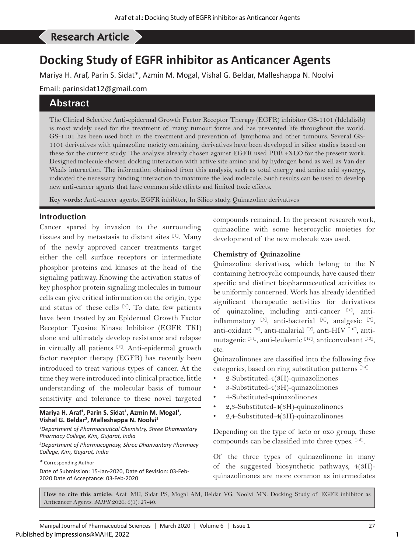# Araf MH*, et al*: Docking Study of EGFR inhibitor as Anticancer Agents Research Article

# **Docking Study of EGFR inhibitor as Anticancer Agents**

Mariya H. Araf, Parin S. Sidat\*, Azmin M. Mogal, Vishal G. Beldar, Malleshappa N. Noolvi

Email: parinsidat12@gmail.com

# **Abstract**

The Clinical Selective Anti-epidermal Growth Factor Receptor Therapy (EGFR) inhibitor GS-1101 (Idelalisib) is most widely used for the treatment of many tumour forms and has prevented life throughout the world. GS-1101 has been used both in the treatment and prevention of lymphoma and other tumours. Several GS-1101 derivatives with quinazoline moiety containing derivatives have been developed in silico studies based on these for the current study. The analysis already chosen against EGFR used PDB 4XEO for the present work. Designed molecule showed docking interaction with active site amino acid by hydrogen bond as well as Van der Waals interaction. The information obtained from this analysis, such as total energy and amino acid synergy, indicated the necessary binding interaction to maximize the lead molecule. Such results can be used to develop new anti-cancer agents that have common side effects and limited toxic effects.

**Key words:** Anti-cancer agents, EGFR inhibitor, In Silico study, Quinazoline derivatives

#### **Introduction**

Cancer spared by invasion to the surrounding tissues and by metastasis to distant sites [1]. Many of the newly approved cancer treatments target either the cell surface receptors or intermediate phosphor proteins and kinases at the head of the signaling pathway. Knowing the activation status of key phosphor protein signaling molecules in tumour cells can give critical information on the origin, type and status of these cells  $[2]$ . To date, few patients have been treated by an Epidermal Growth Factor Receptor Tyosine Kinase Inhibitor (EGFR TKI) alone and ultimately develop resistance and relapse in virtually all patients [3]. Anti-epidermal growth factor receptor therapy (EGFR) has recently been introduced to treat various types of cancer. At the time they were introduced into clinical practice, little understanding of the molecular basis of tumour sensitivity and tolerance to these novel targeted

#### Mariya H. Araf<sup>1</sup>, Parin S. Sidat<sup>1</sup>, Azmin M. Mogal<sup>1</sup>, **Vishal G. Beldar2 , Malleshappa N. Noolvi1**

*1 Department of Pharmaceutical Chemistry, Shree Dhanvantary Pharmacy College, Kim, Gujarat, India*

*2 Department of Pharmacognosy, Shree Dhanvantary Pharmacy College, Kim, Gujarat, India*

*\** Corresponding Author

Date of Submission: 15-Jan-2020, Date of Revision: 03-Feb-2020 Date of Acceptance: 03-Feb-2020

compounds remained. In the present research work, quinazoline with some heterocyclic moieties for development of the new molecule was used.

#### **Chemistry of Quinazoline**

Quinazoline derivatives, which belong to the N containing hetrocyclic compounds, have caused their specific and distinct biopharmaceutical activities to be uniformly concerned. Work has already identified significant therapeutic activities for derivatives of quinazoline, including anti-cancer  $[4]$ , antiinflammatory [5], anti-bacterial [6], analgesic [7], anti-oxidant [8], anti-malarial [9], anti-HIV [10], antimutagenic [11], anti-leukemic [12], anticonvulsant [13], etc.

Quinazolinones are classified into the following five categories, based on ring substitution patterns  $[14]$ 

- 2-Substituted-4(3H)-quinazolinones
- 3-Substituted-4(3H)-quinazolinones
- 4-Substituted-quinazolinones
- 2,3-Substituted-4(3H)-quinazolinones
- 2,4-Substituted-4(3H)-quinazolinones

Depending on the type of keto or oxo group, these compounds can be classified into three types. [15].

Of the three types of quinazolinone in many of the suggested biosynthetic pathways, 4(3H) quinazolinones are more common as intermediates

**How to cite this article:** Araf MH, Sidat PS, Mogal AM, Beldar VG, Noolvi MN. Docking Study of EGFR inhibitor as Anticancer Agents. *MJPS* 2020; 6(1): 27-40.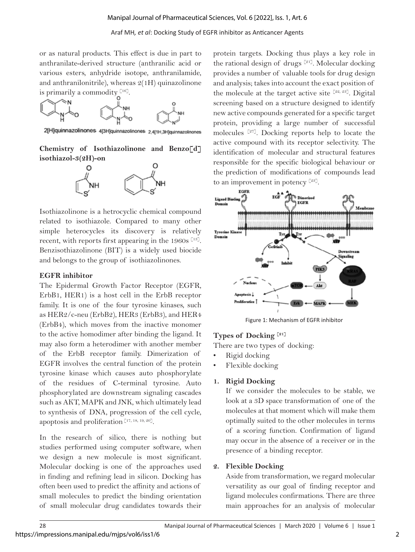or as natural products. This effect is due in part to anthranilate-derived structure (anthranilic acid or various esters, anhydride isotope, anthranilamide, and anthranilonitrile), whereas  $2(1H)$  quinazolinone is primarily a commodity  $[16]$ .



2[H]quinnazolinones 4[3H]quinnazolinones 2,4[1H,3H]quinnazolinones

**Chemistry of Isothiazolinone and Benzo[d] isothiazol-3(2H)-on** 



Isothiazolinone is a hetrocyclic chemical compound related to isothiazole. Compared to many other simple heterocycles its discovery is relatively recent, with reports first appearing in the 1960s  $[13]$ . Benzisothiazolinone (BIT) is a widely used biocide and belongs to the group of isothiazolinones.

#### **EGFR inhibitor**

The Epidermal Growth Factor Receptor (EGFR, ErbB1, HER1) is a host cell in the ErbB receptor family. It is one of the four tyrosine kinases, such as HER2/c-neu (ErbB2), HER3 (ErbB3), and HER4 (ErbB4), which moves from the inactive monomer to the active homodimer after binding the ligand. It may also form a heterodimer with another member of the ErbB receptor family. Dimerization of EGFR involves the central function of the protein tyrosine kinase which causes auto phosphorylate of the residues of C-terminal tyrosine. Auto phosphorylated are downstream signaling cascades such as AKT, MAPK and JNK, which ultimately lead to synthesis of DNA, progression of the cell cycle, apoptosis and proliferation [17, 18, 19, 20].

In the research of silico, there is nothing but studies performed using computer software, when we design a new molecule is most significant. Molecular docking is one of the approaches used in finding and refining lead in silicon. Docking has often been used to predict the affinity and actions of small molecules to predict the binding orientation of small molecular drug candidates towards their

protein targets. Docking thus plays a key role in the rational design of drugs  $[21]$ . Molecular docking provides a number of valuable tools for drug design and analysis; takes into account the exact position of the molecule at the target active site  $[22, 23]$ . Digital screening based on a structure designed to identify new active compounds generated for a specific target protein, providing a large number of successful molecules [27]. Docking reports help to locate the active compound with its receptor selectivity. The identification of molecular and structural features responsible for the specific biological behaviour or the prediction of modifications of compounds lead to an improvement in potency  $[23]$ .



Figure 1: Mechanism of EGFR inhibitor

# **Types of Docking [21]**

There are two types of docking:

- Rigid docking
- Flexible docking

# **1. Rigid Docking**

If we consider the molecules to be stable, we look at a 3D space transformation of one of the molecules at that moment which will make them optimally suited to the other molecules in terms of a scoring function. Confirmation of ligand may occur in the absence of a receiver or in the presence of a binding receptor.

# **2. Flexible Docking**

Aside from transformation, we regard molecular versatility as our goal of finding receptor and ligand molecules confirmations. There are three main approaches for an analysis of molecular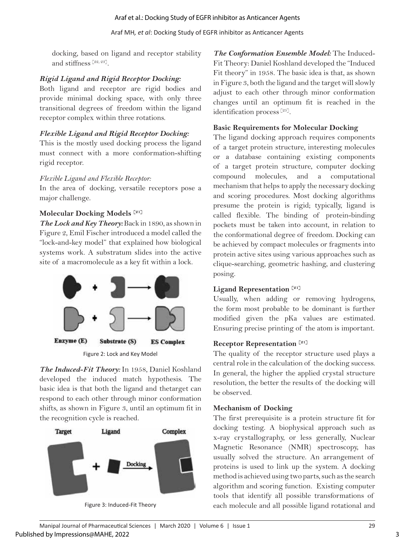docking, based on ligand and receptor stability and stiffness [22, 23].

# *Rigid Ligand and Rigid Receptor Docking:*

Both ligand and receptor are rigid bodies and provide minimal docking space, with only three transitional degrees of freedom within the ligand receptor complex within three rotations.

# *Flexible Ligand and Rigid Receptor Docking:*

This is the mostly used docking process the ligand must connect with a more conformation-shifting rigid receptor.

# *Flexible Ligand and Flexible Receptor:*

In the area of docking, versatile receptors pose a major challenge.

# **Molecular Docking Models [21]**

*The Lock and Key Theory:* Back in 1890, as shown in Figure 2, Emil Fischer introduced a model called the "lock-and-key model" that explained how biological systems work. A substratum slides into the active site of a macromolecule as a key fit within a lock.



Figure 2: Lock and Key Model

*The Induced-Fit Theory:* In 1958, Daniel Koshland developed the induced match hypothesis. The basic idea is that both the ligand and thetarget can respond to each other through minor conformation shifts, as shown in Figure 3, until an optimum fit in the recognition cycle is reached.



Figure 3: Induced-Fit Theory

*The Conformation Ensemble Model:* The Induced-Fit Theory: Daniel Koshland developed the "Induced Fit theory" in 1958. The basic idea is that, as shown in Figure 3, both the ligand and the target will slowly adjust to each other through minor conformation changes until an optimum fit is reached in the identification process [25].

# **Basic Requirements for Molecular Docking**

The ligand docking approach requires components of a target protein structure, interesting molecules or a database containing existing components of a target protein structure, computer docking compound molecules, and a computational mechanism that helps to apply the necessary docking and scoring procedures. Most docking algorithms presume the protein is rigid; typically, ligand is called flexible. The binding of protein-binding pockets must be taken into account, in relation to the conformational degree of freedom. Docking can be achieved by compact molecules or fragments into protein active sites using various approaches such as clique-searching, geometric hashing, and clustering posing.

# **Ligand Representation [21]**

Usually, when adding or removing hydrogens, the form most probable to be dominant is further modified given the pKa values are estimated. Ensuring precise printing of the atom is important.

# **Receptor Representation [21]**

The quality of the receptor structure used plays a central role in the calculation of the docking success. In general, the higher the applied crystal structure resolution, the better the results of the docking will be observed.

# **Mechanism of Docking**

The first prerequisite is a protein structure fit for docking testing. A biophysical approach such as x-ray crystallography, or less generally, Nuclear Magnetic Resonance (NMR) spectroscopy, has usually solved the structure. An arrangement of proteins is used to link up the system. A docking method is achieved using two parts, such as the search algorithm and scoring function. Existing computer tools that identify all possible transformations of each molecule and all possible ligand rotational and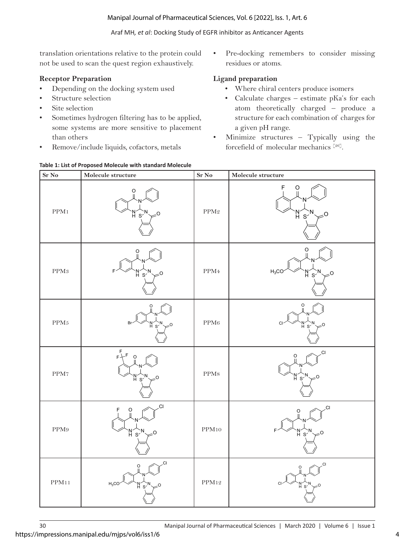translation orientations relative to the protein could not be used to scan the quest region exhaustively.

# **Receptor Preparation**

- Depending on the docking system used
- Structure selection
- Site selection
- Sometimes hydrogen filtering has to be applied, some systems are more sensitive to placement than others
- Remove/include liquids, cofactors, metals

#### **Table 1: List of Proposed Molecule with standard Molecule**

Pre-docking remembers to consider missing residues or atoms.

# **Ligand preparation**

- Where chiral centers produce isomers
- Calculate charges estimate pKa's for each atom theoretically charged – produce a structure for each combination of charges for a given pH range.
- Minimize structures Typically using the forcefield of molecular mechanics [26].



https://impressions.manipal.edu/mjps/vol6/iss1/6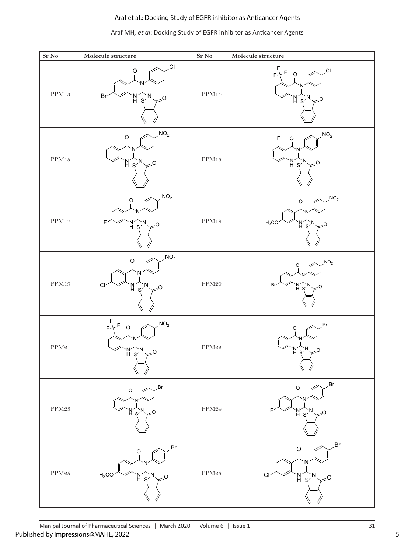# Araf MH*, et al*: Docking Study of EGFR inhibitor as Anticancer Agents

| $\rm Sr~\rm No$  | Molecule structure                                             | $\rm Sr~\rm No$  | Molecule structure                                                                       |
|------------------|----------------------------------------------------------------|------------------|------------------------------------------------------------------------------------------|
| $\rm PPM13$      | CI.<br>$\overline{0}$<br>Br<br>'N≦∑N<br>H⊂S<br>$\approx$       | PPM14            | CI,<br>$\hbox{O}$<br>F<br>M <sub>s</sub><br>$\geq$ <sup>O</sup>                          |
| $\rm PPM15$      | NO <sub>2</sub><br>$\overline{0}$<br>n<br>H s′<br>O            | $\rm PPM16$      | NO <sub>2</sub><br>F<br>$\begin{matrix} 0 \\ 0 \end{matrix}$<br>'N´S                     |
| PPM17            | NO <sub>2</sub><br>$\overline{O}$<br>M < N<br>$-0$             | PPM18            | NO <sub>2</sub><br>O<br>$H_3CC$<br>$M_{\rm s}^{\rm N}$<br>0۔                             |
| PPM19            | NO <sub>2</sub><br>$\circ$<br>CI<br>n<br>H s′<br>O             | $\mathrm{PPM20}$ | NO <sub>2</sub><br>$\overline{O}$<br>Br<br>$M_{\rm s}$                                   |
| PPM21            | $F + F$<br>NO <sub>2</sub><br>$\circ$<br>H,<br>$S^2$           | $\mathrm{PPM}22$ | Br.<br>O<br>N´s∙<br>H`S                                                                  |
| $\rm PPM23$      | Br.<br>$\overline{0}$<br>F<br>$M_{\rm s}$                      | PPM24            | Br<br>$\frac{0}{\parallel}$<br>$\mathop{\rm h}\nolimits_{\mathop{\rm S}\nolimits}$<br>-0 |
| $\mathrm{PPM}25$ | Br<br>$\frac{0}{\parallel}$<br>$H_3CO$<br>M <sub>S'</sub><br>O | $\mathrm{PPM}26$ | Br<br>$\rm _{\rm II}^{\rm O}$<br>$M_s$<br>O                                              |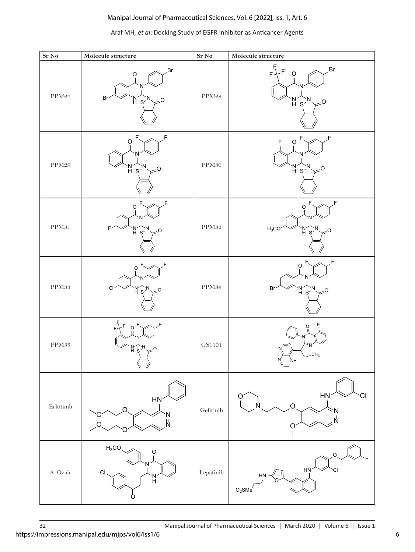#### **Sr No** Molecule structure **Sr No** Molecule structure  $PPM27$  R H N  $\cap$ N  $\text{Br}^{\prime}$   $\begin{array}{c} \text{N}^{\prime} \text{N} \\ \text{H} \text{S}^{\prime} \end{array}$   $\neq$  0 Br PPM<sub>28</sub> H N O N  $s^{\prime}$   $\neq$ <sup>0</sup> F  $F + F$  o  $\curvearrowleft$ <sup>Br</sup> PPM<sub>29</sub> H N O N  $s'$  $\neq$ <sup>0</sup>  $\mathsf{F} \curvearrowright \mathscr{F}$ PPM<sub>30</sub> H N O N  $s'$  $\succ^0$ F  $\mathsf{F} \sim \mathbb{R}^n$  ,  $\mathsf{F}$ PPM<sub>31</sub> N<br>H N O N  $F' \vee Y'_{\mathsf{H}} S'_{\mathsf{S}} \neq 0$ F、 <sub><</sub>、 F  $PPM32$   $H_3CC$ H N  $\Gamma$ N  $H_3CO$   $\vee$   $H_3$   $\swarrow$   $O$  $F_{\smallsetminus} \curvearrowright \neq F$ PPM<sub>33</sub> H N O N <sup>S</sup> <sup>O</sup> Cl F、《 、 *F*  $PPM34$  Br  $_{\rm H}^{\rm N}$ N O N  $\mathsf{Br}^{\prime}$   $\mathsf{M}^{\prime}$   $\mathsf{N}^{\prime}$   $\mathsf{S}^{\prime}$   $\mathsf{S}^{\prime}$  $F_{\sim}$   $\sim$   $F$ PPM<sub>35</sub> H N O N  $s''$  $\neq$ <sup>0</sup> F  $F + F$  of  $\curvearrowleft$   $F$ GS1101 N N NH N N O F CH<sub>3</sub> Erlotinib HN N  $\sim$   $\sim$   $\sim$   $\sim$   $\sim$   $\sim$ O O O Gefitinib  $\subset$ N  $\sim$  0 N N  $\Omega$  $HN$ A. Ozair O  $\sim$   $\sim$   $\sim$   $\mu$ H N O  $H_3CC$ Lepatinib  $\circ \sim \sim \sim$ F  $H<sub>l</sub>$ O HN  $O<sub>2</sub>$ SMe

#### Araf MH*, et al*: Docking Study of EGFR inhibitor as Anticancer Agents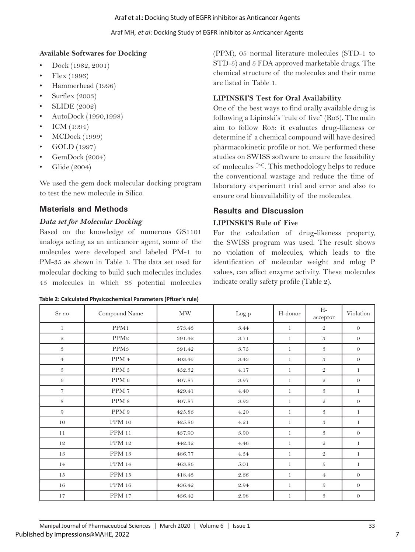Araf MH*, et al*: Docking Study of EGFR inhibitor as Anticancer Agents

# **Available Softwares for Docking**

- Dock (1982, 2001)
- Flex (1996)
- Hammerhead (1996)
- Surflex (2003)
- SLIDE (2002)
- AutoDock (1990,1998)
- ICM  $(1994)$
- MCDock (1999)
- GOLD (1997)
- GemDock (2004)
- Glide (2004)

We used the gem dock molecular docking program to test the new molecule in Silico.

# **Materials and Methods**

# *Data set for Molecular Docking*

Based on the knowledge of numerous GS1101 analogs acting as an anticancer agent, some of the molecules were developed and labeled PM-1 to PM-35 as shown in Table 1. The data set used for molecular docking to build such molecules includes 45 molecules in which 35 potential molecules

| Table 2: Calculated Physicochemical Parameters (Pfizer's rule) |  |
|----------------------------------------------------------------|--|
|----------------------------------------------------------------|--|

(PPM), 05 normal literature molecules (STD-1 to STD-5) and 5 FDA approved marketable drugs. The chemical structure of the molecules and their name are listed in Table 1.

# **LIPINSKI'S Test for Oral Availability**

One of the best ways to find orally available drug is following a Lipinski's "rule of five" (Ro5). The main aim to follow Ro5: it evaluates drug-likeness or determine if a chemical compound will have desired pharmacokinetic profile or not. We performed these studies on SWISS software to ensure the feasibility of molecules  $[24]$ . This methodology helps to reduce the conventional wastage and reduce the time of laboratory experiment trial and error and also to ensure oral bioavailability of the molecules.

# **Results and Discussion**

# **LIPINSKI'S Rule of Five**

For the calculation of drug-likeness property, the SWISS program was used. The result shows no violation of molecules, which leads to the identification of molecular weight and mlog P values, can affect enzyme activity. These molecules indicate orally safety profile (Table 2).

| Sr no            | Compound Name    | <b>MW</b> | Log p | H-donor      | $H-$<br>acceptor | Violation    |
|------------------|------------------|-----------|-------|--------------|------------------|--------------|
| $\mathbf{1}$     | PPM <sub>1</sub> | 373.43    | 3.44  | $\mathbf{1}$ | $\mathcal Q$     | $\theta$     |
| $\mathcal Q$     | PPM <sub>2</sub> | 391.42    | 3.71  | $\mathbf{1}$ | 3                | $\theta$     |
| 3                | PPM <sub>3</sub> | 391.42    | 3.75  | $\mathbf{1}$ | 3                | $\theta$     |
| $\overline{4}$   | PPM 4            | 403.45    | 3.43  | $\mathbf{1}$ | 3                | $\theta$     |
| $\boldsymbol{5}$ | PPM <sub>5</sub> | 452.32    | 4.17  | 1            | $\mathfrak{D}$   | $\mathbf{1}$ |
| 6                | PPM <sub>6</sub> | 407.87    | 3.97  | $\mathbf{1}$ | $\mathfrak{D}$   | $\theta$     |
| $\overline{7}$   | PPM 7            | 429.41    | 4.40  | $\mathbf{1}$ | 5                | $\mathbf{1}$ |
| 8                | PPM <sub>8</sub> | 407.87    | 3.93  | $\mathbf{1}$ | $\mathfrak{D}$   | $\theta$     |
| 9                | PPM <sub>9</sub> | 425.86    | 4.20  | $\mathbf{1}$ | 3                | $\mathbf{1}$ |
| 10               | <b>PPM</b> 10    | 425.86    | 4.21  | $\mathbf{1}$ | 3                | $\mathbf{1}$ |
| 11               | <b>PPM 11</b>    | 437.90    | 3.90  | 1            | 3                | $\theta$     |
| 12               | PPM 12           | 442.32    | 4.46  | 1            | $\mathfrak{D}$   | $\mathbf{1}$ |
| 13               | <b>PPM</b> 13    | 486.77    | 4.54  | 1            | $\mathcal Q$     | $\mathbf{1}$ |
| 14               | <b>PPM</b> 14    | 463.86    | 5.01  | 1            | $\boldsymbol{5}$ | $\mathbf{1}$ |
| 15               | <b>PPM</b> 15    | 418.43    | 2.66  | $\mathbf{1}$ | $\overline{4}$   | $\theta$     |
| 16               | <b>PPM</b> 16    | 436.42    | 2.94  | $\mathbf{1}$ | $\sqrt{5}$       | $\theta$     |
| 17               | <b>PPM 17</b>    | 436.42    | 2.98  | $\mathbf{1}$ | $\sqrt{5}$       | $\theta$     |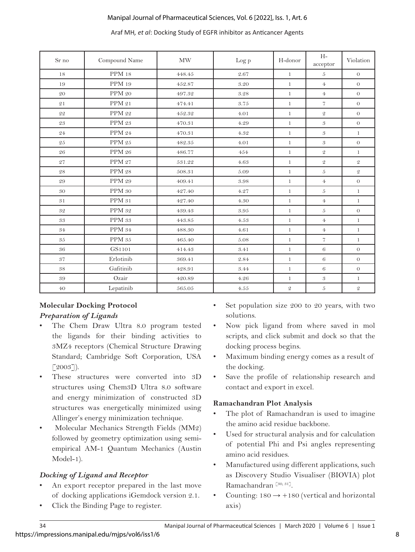#### Araf MH*, et al*: Docking Study of EGFR inhibitor as Anticancer Agents

| Sr no       | Compound Name     | <b>MW</b>  | Log p    | H-donor      | $H-$<br>acceptor     | Violation      |
|-------------|-------------------|------------|----------|--------------|----------------------|----------------|
| 18          | <b>PPM</b> 18     | 448.45     | 2.67     | $\mathbf{1}$ | 5                    | $\theta$       |
| 19          | <b>PPM</b> 19     | 452.87     | 3.20     | $\mathbf{1}$ | $\overline{4}$       | $\overline{O}$ |
| 20          | PPM 20            | 497.32     | 3.28     | $\mathbf{1}$ | $\overline{4}$       | $\sigma$       |
| 21          | PPM 21            | 474.41     | 3.75     | $\mathbf{1}$ | $\overline{7}$       | $\sigma$       |
| 22          | PPM 22            | $452.32\,$ | 4.01     | $\mathbf{1}$ | $\overline{2}$       | $\overline{O}$ |
| 23          | PPM 23            | 470.31     | 4.29     | $\mathbf{1}$ | 3                    | $\sigma$       |
| 24          | PPM 24            | 470.31     | 4.32     | $\mathbf{1}$ | 3                    | $\mathbf{1}$   |
| 25          | $\mathrm{PPM}$ 25 | 482.35     | 4.01     | $\mathbf{1}$ | 3                    | $\sigma$       |
| 26          | PPM 26            | 486.77     | 454      | $\mathbf{1}$ | $\mathfrak{D}$       | $\mathbf{1}$   |
| 27          | <b>PPM 27</b>     | 531.22     | 4.63     | $\mathbf{1}$ | $\overline{2}$       | $\mathfrak{D}$ |
| 28          | <b>PPM 28</b>     | $508.31\,$ | 5.09     | $\mathbf{1}$ | $\overline{5}$       | $\mathfrak{D}$ |
| 29          | PPM 29            | 409.41     | 3.98     | $\mathbf{1}$ | $\overline{4}$       | $\mathcal O$   |
| 30          | <b>PPM 30</b>     | 427.40     | 4.27     | $\mathbf{1}$ | $\overline{5}$       | $\mathbf{1}$   |
| 31          | <b>PPM 31</b>     | 427.40     | 4.30     | $\mathbf{1}$ | $\overline{4}$       | $\mathbf{1}$   |
| $3\sqrt{2}$ | <b>PPM 32</b>     | 439.43     | 3.95     | $\mathbf{1}$ | $\overline{5}$       | $\theta$       |
| 33          | PPM 33            | 443.85     | 4.53     | $\mathbf{1}$ | $\overline{4}$       | $\mathbf{1}$   |
| 34          | <b>PPM 34</b>     | 488.30     | 4.61     | $\mathbf{1}$ | $\Phi$               | $\mathbf{1}$   |
| 35          | PPM 35            | 465.40     | 5.08     | $\mathbf{1}$ | $\overline{7}$       | $\mathbf{1}$   |
| 36          | GS1101            | 414.43     | 3.41     | $\mathbf{1}$ | 6                    | $\sigma$       |
| 37          | Erlotinib         | 369.41     | 2.84     | $\mathbf{1}$ | 6                    | $\sigma$       |
| 38          | Gafitinib         | 428.91     | 3.44     | $\mathbf{1}$ | 6                    | $\sigma$       |
| $\rm 39$    | Ozair             | 420.89     | 4.26     | $\mathbf{1}$ | $\boldsymbol{\beta}$ | $\mathbf{1}$   |
| $40\,$      | Lepatinib         | 565.05     | $4.55\,$ | $\mathcal Q$ | $\boldsymbol{5}$     | $\mathcal Q$   |

# **Molecular Docking Protocol** *Preparation of Ligands*

- The Chem Draw Ultra 8.0 program tested the ligands for their binding activities to 3MZ4 receptors (Chemical Structure Drawing Standard; Cambridge Soft Corporation, USA  $[2003]$ ).
- These structures were converted into 3D structures using Chem3D Ultra 8.0 software and energy minimization of constructed 3D structures was energetically minimized using Allinger's energy minimization technique.
- Molecular Mechanics Strength Fields (MM2) followed by geometry optimization using semiempirical AM-1 Quantum Mechanics (Austin Model-1).

# *Docking of Ligand and Receptor*

- An export receptor prepared in the last move of docking applications iGemdock version 2.1.
- Click the Binding Page to register.
- Set population size 200 to 20 years, with two solutions.
- Now pick ligand from where saved in mol scripts, and click submit and dock so that the docking process begins.
- Maximum binding energy comes as a result of the docking.
- Save the profile of relationship research and contact and export in excel.

# **Ramachandran Plot Analysis**

- The plot of Ramachandran is used to imagine the amino acid residue backbone.
- Used for structural analysis and for calculation of potential Phi and Psi angles representing amino acid residues.
- Manufactured using different applications, such as Discovery Studio Visualiser (BIOVIA) plot Ramachandran [30, 31].
- Counting:  $180 \rightarrow +180$  (vertical and horizontal axis)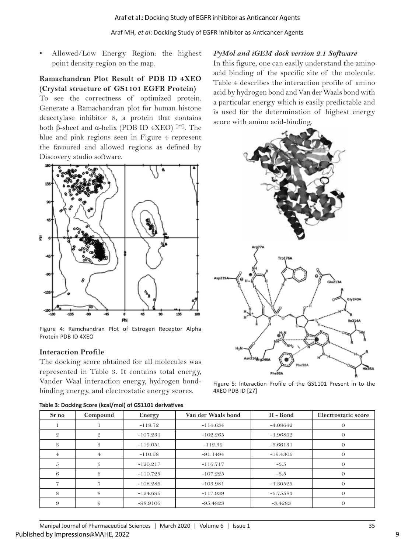#### Araf MH*, et al*: Docking Study of EGFR inhibitor as Anticancer Agents

• Allowed/Low Energy Region: the highest point density region on the map.

#### **Ramachandran Plot Result of PDB ID 4XEO (Crystal structure of GS1101 EGFR Protein)**

To see the correctness of optimized protein. Generate a Ramachandran plot for human histone deacetylase inhibitor 8, a protein that contains both β-sheet and α-helix (PDB ID 4XEO) [27]. The blue and pink regions seen in Figure 4 represent the favoured and allowed regions as defined by Discovery studio software.



Figure 4: Ramchandran Plot of Estrogen Receptor Alpha Protein PDB ID 4XEO

#### **Interaction Profile**

The docking score obtained for all molecules was represented in Table 3. It contains total energy, Vander Waal interaction energy, hydrogen bondbinding energy, and electrostatic energy scores.

#### *PyMol and iGEM dock version 2.1 Software* In this figure, one can easily understand the amino

acid binding of the specific site of the molecule. Table 4 describes the interaction profile of amino acid by hydrogen bond and Van der Waals bond with a particular energy which is easily predictable and is used for the determination of highest energy score with amino acid-binding.



Figure 5: Interaction Profile of the GS1101 Present in to the 4XEO PDB ID [27]

| Table 5. DUCKING SCOTE (KCal/HIOI) OF GSILLOL GETTVALIVES |          |            |                    |            |                     |  |
|-----------------------------------------------------------|----------|------------|--------------------|------------|---------------------|--|
| Sr no                                                     | Compound | Energy     | Van der Waals bond | H - Bond   | Electrostatic score |  |
|                                                           |          | $-118.72$  | $-114.634$         | $-4.08642$ |                     |  |
| $\mathcal{Q}$                                             | 9.       | $-107.234$ | $-102.265$         | -4.96892   |                     |  |
| 3                                                         | 3        | $-119.051$ | $-112.39$          | $-6.66131$ |                     |  |
| 4.                                                        |          | $-110.58$  | $-91.1494$         | $-19.4306$ | 0                   |  |
|                                                           |          | $-120.217$ | $-116.717$         | $-3.5$     |                     |  |
| 6                                                         | 6        | $-110.725$ | $-107.225$         | $-3.5$     | 0                   |  |
|                                                           |          | $-108.286$ | $-103.981$         | $-4.30525$ | 0                   |  |
| 8                                                         | 8        | $-124.695$ | $-117.939$         | $-6.75583$ | $\Omega$            |  |
| 9                                                         | 9        | $-98.9106$ | $-95.4823$         | $-3.4283$  | $\theta$            |  |

#### **Table 3: Docking Score (kcal/mol) of GS1101 derivatives**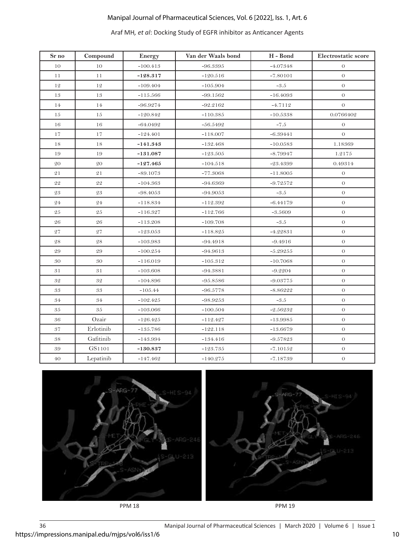# Araf MH*, et al*: Docking Study of EGFR inhibitor as Anticancer Agents

| Sr no       | Compound            | Energy     | Van der Waals bond | H - Bond   | Electrostatic score |
|-------------|---------------------|------------|--------------------|------------|---------------------|
| 10          | 10                  | $-100.413$ | $-96.3395$         | $-4.07348$ | $\theta$            |
| 11          | $1\,1$              | $-128.317$ | $-120.516$         | $-7.80101$ | $\rm{O}$            |
| 12          | 12                  | $-109.404$ | $-105.904$         | $-3.5$     | $\sigma$            |
| 13          | 13                  | $-115.566$ | $-99.1562$         | $-16.4093$ | $\theta$            |
| 14          | $14\,$              | $-96.9274$ | $-92.2162$         | $-4.7112$  | $\boldsymbol{O}$    |
| 15          | 15                  | $-120.842$ | $-110.385$         | $-10.5338$ | $0.0766402\,$       |
| 16          | 16                  | $-64.0492$ | $-56.5492$         | $-7.5$     | $\theta$            |
| 17          | $1\,7$              | $-124.401$ | $-118.007$         | $-6.39441$ | $\sigma$            |
| 18          | 18                  | $-141.343$ | $-132.468$         | $-10.0583$ | 1.18369             |
| 19          | 19                  | $-131.087$ | $-123.505$         | $-8.79947$ | 1.2175              |
| 20          | $\rm 20$            | $-127.465$ | $-104.518$         | $-23.4399$ | 0.49314             |
| 21          | 21                  | $-89.1073$ | $-77.3068$         | $-11.8005$ | $\theta$            |
| 22          | 22                  | $-104.363$ | $-94.6369$         | $-9.72572$ | $\overline{O}$      |
| $\sqrt{23}$ | $\sqrt{23}$         | $-98.4053$ | $-94.9053$         | $-3.5$     | $\sigma$            |
| 24          | ${\bf 24}$          | $-118.834$ | $-112.392$         | $-6.44179$ | $\sigma$            |
| 25          | 25                  | $-116.327$ | $-112.766$         | $-3.5609$  | $\sigma$            |
| ${\bf 26}$  | $\sqrt{26}$         | $-113.208$ | $-109.708$         | $-3.5\,$   | $\sigma$            |
| 27          | $\sqrt{27}$         | $-123.053$ | $-118.825$         | $-4.22831$ | $\mathcal O$        |
| 28          | 28                  | $-103.983$ | $-94.4918$         | $-9.4916$  | $\sigma$            |
| $\rm 29$    | 29                  | $-100.254$ | $-94.9613$         | $-5.29255$ | $\sigma$            |
| 30          | $30\,$              | $-116.019$ | $-105.312$         | $-10.7068$ | $\mathcal O$        |
| 31          | 31                  | $-103.608$ | $-94.3881$         | $-9.2204$  | $\sigma$            |
| 32          | $\sqrt{3} \sqrt{2}$ | $-104.896$ | $-95.8586$         | $-9.03775$ | $\sigma$            |
| 33          | $\boldsymbol{33}$   | $-105.44$  | $-96.5778$         | $-8.86222$ | $\mathcal O$        |
| 34          | 34                  | $-102.425$ | $-98.9253$         | $-3.5$     | $\sigma$            |
| 35          | $\rm 35$            | $-103.066$ | $-100.504$         | $-2.56232$ | $\sigma$            |
| 36          | Ozair               | $-126.425$ | $-112.427$         | $-13.9985$ | $\sigma$            |
| 37          | Erlotinib           | $-135.786$ | $-122.118$         | $-13.6679$ | $\overline{O}$      |
| 38          | Gafitinib           | $-143.994$ | $-134.416$         | $-9.57823$ | $\theta$            |
| 39          | GS1101              | $-130.837$ | $-123.735$         | $-7.10152$ | $\mathcal O$        |
| 40          | Lepatinib           | $-147.462$ | $-140.275$         | $-7.18739$ | $\mathcal O$        |

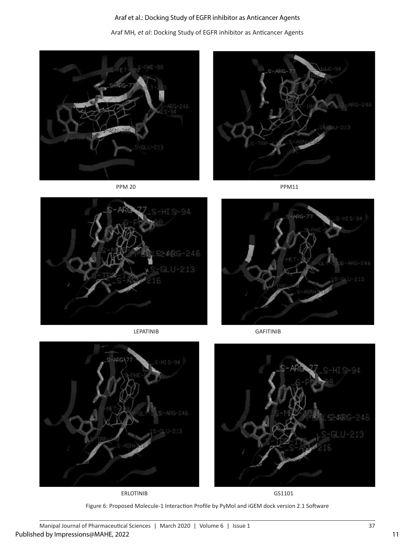Araf MH*, et al*: Docking Study of EGFR inhibitor as Anticancer Agents









LEPATINIB GAFITINIB





ERLOTINIB GS1101





Figure 6: Proposed Molecule-1 Interaction Profile by PyMol and iGEM dock version 2.1 Software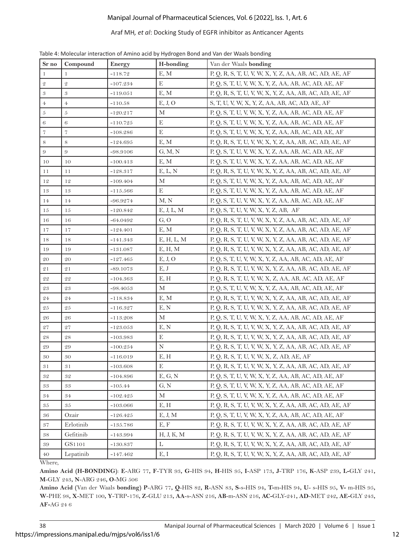#### Araf MH*, et al*: Docking Study of EGFR inhibitor as Anticancer Agents

| $\rm Sr~no$        | Compound            | Energy     | H-bonding   | Van der Waals bonding                                   |
|--------------------|---------------------|------------|-------------|---------------------------------------------------------|
| $\mathbf{1}$       | 1                   | $-118.72$  | E, M        | P, Q, R, S, T, U, V, W, X, Y, Z, AA, AB, AC, AD, AE, AF |
| $\mathbf 2$        | $\mathcal Q$        | $-107.234$ | E           | P, Q, S, T, U, V, W, X, Y, Z, AA, AB, AC, AD, AE, AF    |
| $\sqrt{3}$         | $\mathfrak{B}$      | $-119.051$ | E, M        | P, Q, R, S, T, U, V, W, X, Y, Z, AA, AB, AC, AD, AE, AF |
| $\overline{4}$     | $\overline{4}$      | $-110.58$  | E, J, O     | S, T, U, V, W, X, Y, Z, AA, AB, AC, AD, AE, AF          |
| $\boldsymbol{5}$   | $\sqrt{5}$          | $-120.217$ | М           | P, Q, S, T, U, V, W, X, Y, Z, AA, AB, AC, AD, AE, AF    |
| $\sqrt{6}$         | 6                   | $-110.725$ | E           | P, Q, S, T, U, V, W, X, Y, Z, AA, AB, AC, AD, AE, AF    |
| $\scriptstyle{7}$  | $\scriptstyle\rm 7$ | $-108.286$ | E           | P, Q, S, T, U, V, W, X, Y, Z, AA, AB, AC, AD, AE, AF    |
| $\,8\,$            | 8                   | $-124.695$ | E, M        | P, Q, R, S, T, U, V, W, X, Y, Z, AA, AB, AC, AD, AE, AF |
| $\overline{9}$     | 9                   | $-98.9106$ | G, M, N     | P, Q, S, T, U, V, W, X, Y, Z, AA, AB, AC, AD, AE, AF    |
| 10                 | 10                  | $-100.413$ | E, M        | P, Q, S, T, U, V, W, X, Y, Z, AA, AB, AC, AD, AE, AF    |
| 11                 | 11                  | $-128.317$ | E, L, N     | P, Q, R, S, T, U, V, W, X, Y, Z, AA, AB, AC, AD, AE, AF |
| 12                 | 12                  | $-109.404$ | M           | P, Q, S, T, U, V, W, X, Y, Z, AA, AB, AC, AD, AE, AF    |
| 13                 | 13                  | $-115.566$ | E           | P, Q, S, T, U, V, W, X, Y, Z, AA, AB, AC, AD, AE, AF    |
| 14                 | 14                  | $-96.9274$ | M, N        | P, Q, S, T, U, V, W, X, Y, Z, AA, AB, AC, AD, AE, AF    |
| 15                 | 15                  | $-120.842$ | E, J, L, M  | P, Q, S, T, U, V, W, X, Y, Z, AB, AF                    |
| 16                 | 16                  | $-64.0492$ | G, O        | P, Q, R, S, T, U, V, W, X, Y, Z, AA, AB, AC, AD, AE, AF |
| 17                 | 17                  | $-124.401$ | E, M        | P, Q, R, S, T, U, V, W, X, Y, Z, AA, AB, AC, AD, AE, AF |
| 18                 | 18                  | $-141.343$ | E, H, L, M  | P, Q, R, S, T, U, V, W, X, Y, Z, AA, AB, AC, AD, AE, AF |
| 19                 | 19                  | $-131.087$ | E, H, M     | P, Q, R, S, T, U, V, W, X, Y, Z, AA, AB, AC, AD, AE, AF |
| 20                 | 20                  | $-127.465$ | E, J, O     | P, Q, S, T, U, V, W, X, Y, Z, AA, AB, AC, AD, AE, AF    |
| 21                 | 21                  | -89.1073   | E, J        | P, Q, R, S, T, U, V, W, X, Y, Z, AA, AB, AC, AD, AE, AF |
| $\sqrt{2}\sqrt{2}$ | 22                  | $-104.363$ | E, H        | P, Q, R, S, T, U, V, W, X, Z, AA, AB, AC, AD, AE, AF    |
| 23                 | 23                  | $-98.4053$ | М           | P, Q, S, T, U, V, W, X, Y, Z, AA, AB, AC, AD, AE, AF    |
| 24                 | 24                  | $-118.834$ | E, M        | P, Q, R, S, T, U, V, W, X, Y, Z, AA, AB, AC, AD, AE, AF |
| $\sqrt{25}$        | 25                  | $-116.327$ | E, N        | P, Q, R, S, T, U, V, W, X, Y, Z, AA, AB, AC, AD, AE, AF |
| 26                 | 26                  | $-113.208$ | М           | P, Q, S, T, U, V, W, X, Y, Z, AA, AB, AC, AD, AE, AF    |
| 27                 | 27                  | $-123.053$ | E, N        | P, Q, R, S, T, U, V, W, X, Y, Z, AA, AB, AC, AD, AE, AF |
| $\sqrt{28}$        | 28                  | $-103.983$ | E           | P, Q, R, S, T, U, V, W, X, Y, Z, AA, AB, AC, AD, AE, AF |
| 29                 | 29                  | $-100.254$ | $\mathbf N$ | P, Q, R, S, T, U, V, W, X, Y, Z, AA, AB, AC, AD, AE, AF |
| 30                 | 30                  | $-116.019$ | E, H        | P, Q, R, S, T, U, V, W, X, Z, AD, AE, AF                |
| 31                 | 31                  | $-103.608$ | $\mathbf E$ | P, Q, R, S, T, U, V, W, X, Y, Z, AA, AB, AC, AD, AE, AF |
| $3\sqrt{2}$        | 32                  | $-104.896$ | E, G, N     | P, Q, S, T, U, V, W, X, Y, Z, AA, AB, AC, AD, AE, AF    |
| 33                 | 33                  | $-105.44$  | G, N        | P, Q, S, T, U, V, W, X, Y, Z, AA, AB, AC, AD, AE, AF    |
| 34                 | 34                  | $-102.425$ | М           | P, Q, S, T, U, V, W, X, Y, Z, AA, AB, AC, AD, AE, AF    |
| 35                 | 35                  | $-103.066$ | E, H        | P, Q, R, S, T, U, V, W, X, Y, Z, AA, AB, AC, AD, AE, AF |
| 36                 | Ozair               | $-126.425$ | E, J, M     | P, Q, S, T, U, V, W, X, Y, Z, AA, AB, AC, AD, AE, AF    |
| 37                 | Erlotinib           | $-135.786$ | E, F        | P, Q, R, S, T, U, V, W, X, Y, Z, AA, AB, AC, AD, AE, AF |
| 38                 | Gefitinib           | $-143.994$ | H, J, K, M  | P, Q, R, S, T, U, V, W, X, Y, Z, AA, AB, AC, AD, AE, AF |
| $\rm 39$           | GS1101              | $-130.837$ | L           | P, Q, R, S, T, U, V, W, X, Y, Z, AA, AB, AC, AD, AE, AF |
| $40\,$             | Lepatinib           | $-147.462$ | E, I        | P, Q, R, S, T, U, V, W, X, Y, Z, AA, AB, AC, AD, AE, AF |

Table 4: Molecular interaction of Amino acid by Hydrogen Bond and Van der Waals bonding

Where,

**Amino Acid (H-BONDING)**: **E**-ARG 77**, F**-TYR 93**, G**-HIS 94**, H**-HIS 95**, I**-ASP 173**, J**-TRP 176**, K**-ASP 239**, L-**GLY 241**, M**-GLY 243**, N**-ARG 246**, O**-MG 506

**Amino Acid (**Van der Waals **bonding) P**-ARG 77**, Q**-HIS 82**, R**-ASN 83**, S**-s-HIS 94**, T-**m-HIS 94**, U**- s-HIS 95**, V-** m-HIS 95**, W**-PHE 98**, X**-MET 100**, Y**-TRP-176**, Z**-GLU 213**, AA**-s-ASN 216**, AB**-m-ASN 216**, AC-**GLY-241**, AD**-MET 242**, AE-**GLY 243**, AF-**AG 24 6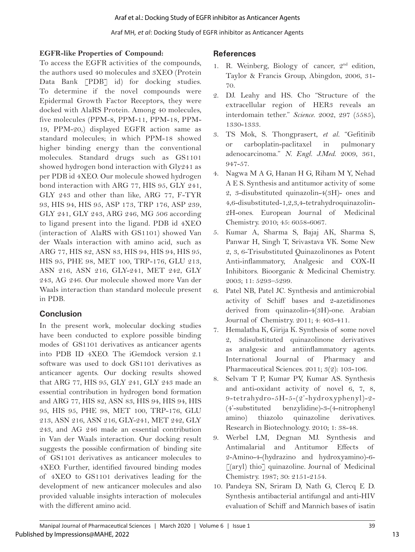#### **EGFR-like Properties of Compound:**

To access the EGFR activities of the compounds, the authors used 40 molecules and 3XEO (Protein Data Bank [PDB] id) for docking studies. To determine if the novel compounds were Epidermal Growth Factor Receptors, they were docked with AlaRS Protein. Among 40 molecules, five molecules (PPM-8, PPM-11, PPM-18, PPM-19, PPM-20,) displayed EGFR action same as standard molecules; in which PPM-18 showed higher binding energy than the conventional molecules. Standard drugs such as GS1101 showed hydrogen bond interaction with Gly241 as per PDB id 4XEO. Our molecule showed hydrogen bond interaction with ARG 77, HIS 95, GLY 241, GLY 243 and other than like, ARG 77, F-TYR 93, HIS 94, HIS 95, ASP 173, TRP 176, ASP 239, GLY 241, GLY 243, ARG 246, MG 506 according to ligand present into the ligand. PDB id 4XEO (interaction of AlaRS with GS1101) showed Van der Waals interaction with amino acid, such as ARG 77, HIS 82, ASN 83, HIS 94, HIS 94, HIS 95, HIS 95, PHE 98, MET 100, TRP-176, GLU 213, ASN 216, ASN 216, GLY-241, MET 242, GLY 243, AG 246. Our molecule showed more Van der Waals interaction than standard molecule present in PDB.

# **Conclusion**

In the present work, molecular docking studies have been conducted to explore possible binding modes of GS1101 derivatives as anticancer agents into PDB ID 4XEO. The iGemdock version 2.1 software was used to dock GS1101 derivatives as anticancer agents. Our docking results showed that ARG 77, HIS 95, GLY 241, GLY 243 made an essential contribution in hydrogen bond formation and ARG 77, HIS 82, ASN 83, HIS 94, HIS 94, HIS 95, HIS 95, PHE 98, MET 100, TRP-176, GLU 213, ASN 216, ASN 216, GLY-241, MET 242, GLY 243, and AG 246 made an essential contribution in Van der Waals interaction. Our docking result suggests the possible confirmation of binding site of GS1101 derivatives as anticancer molecules to 4XEO. Further, identified favoured binding modes of 4XEO to GS1101 derivatives leading for the development of new anticancer molecules and also provided valuable insights interaction of molecules with the different amino acid.

# **References**

- 1. R. Weinberg, Biology of cancer,  $2<sup>nd</sup>$  edition, Taylor & Francis Group, Abingdon, 2006, 31- 70.
- 2. DJ. Leahy and HS. Cho "Structure of the extracellular region of HER3 reveals an interdomain tether." *Science*. 2002, 297 (5585), 1330-1333.
- 3. TS Mok, S. Thongprasert, *et al.* "Gefitinib or carboplatin-paclitaxel in pulmonary adenocarcinoma." *N. Engl. J.Med*. 2009, 361, 947-57.
- 4. Nagwa M A G, Hanan H G, Riham M Y, Nehad A E S. Synthesis and antitumor activity of some 2, 3-disubstituted quinazolin-4(3H)- ones and 4,6-disubstituted-1,2,3,4-tetrahydroquinazolin-2H-ones. European Journal of Medicinal Chemistry. 2010; 45: 6058-6067.
- 5. Kumar A, Sharma S, Bajaj AK, Sharma S, Panwar H, Singh T, Srivastava VK. Some New 2, 3, 6-Trisubstituted Quinazolinones as Potent Anti-inflammatory, Analgesic and COX-II Inhibitors. Bioorganic & Medicinal Chemistry. 2003; 11: 5293–5299.
- 6. Patel NB, Patel JC. Synthesis and antimicrobial activity of Schiff bases and 2-azetidinones derived from quinazolin-4(3H)-one. Arabian Journal of Chemistry. 2011; 4: 403-411.
- 7. Hemalatha K, Girija K. Synthesis of some novel 2, 3disubstituted quinazolinone derivatives as analgesic and antiinflammatory agents. International Journal of Pharmacy and Pharmaceutical Sciences. 2011; 3(2): 103-106.
- 8. Selvam T P, Kumar PV, Kumar AS. Synthesis and anti-oxidant activity of novel 6, 7, 8, 9-tetrahydro-5H-5-(2'-hydroxyphenyl)-2- (4'-substituted benzylidine)-3-(4-nitrophenyl amino) thiazolo quinazoline derivatives. Research in Biotechnology. 2010; 1: 38-48.
- 9. Werbel LM, Degnan MJ. Synthesis and Antimalarial and Antitumor Effects of 2-Amino-4-(hydrazino and hydroxyamino)-6- [(aryl) thio] quinazoline. Journal of Medicinal Chemistry. 1987; 30: 2151-2154.
- 10. Pandeya SN, Sriram D, Nath G, Clercq E D. Synthesis antibacterial antifungal and anti-HIV evaluation of Schiff and Mannich bases of isatin